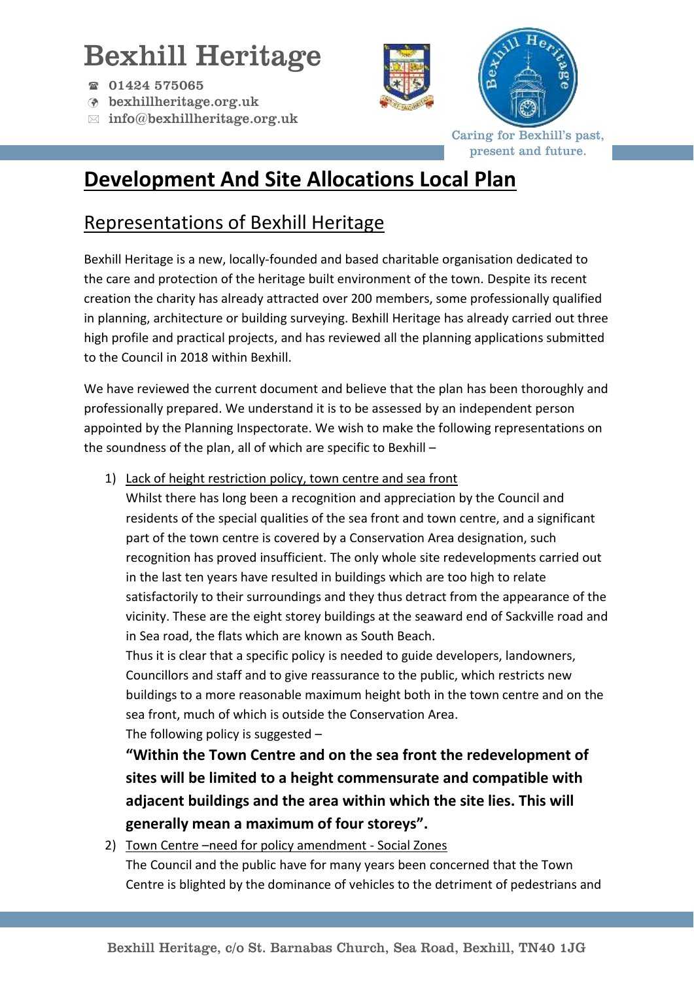# Bexhill Heritage

- 01424 575065
- bexhillheritage.org.uk
- $\boxtimes$  info@bexhillheritage.org.uk





Caring for Bexhill's past, present and future.

## **Development And Site Allocations Local Plan**

### Representations of Bexhill Heritage

Bexhill Heritage is a new, locally-founded and based charitable organisation dedicated to the care and protection of the heritage built environment of the town. Despite its recent creation the charity has already attracted over 200 members, some professionally qualified in planning, architecture or building surveying. Bexhill Heritage has already carried out three high profile and practical projects, and has reviewed all the planning applications submitted to the Council in 2018 within Bexhill.

We have reviewed the current document and believe that the plan has been thoroughly and professionally prepared. We understand it is to be assessed by an independent person appointed by the Planning Inspectorate. We wish to make the following representations on the soundness of the plan, all of which are specific to Bexhill –

1) Lack of height restriction policy, town centre and sea front

Whilst there has long been a recognition and appreciation by the Council and residents of the special qualities of the sea front and town centre, and a significant part of the town centre is covered by a Conservation Area designation, such recognition has proved insufficient. The only whole site redevelopments carried out in the last ten years have resulted in buildings which are too high to relate satisfactorily to their surroundings and they thus detract from the appearance of the vicinity. These are the eight storey buildings at the seaward end of Sackville road and in Sea road, the flats which are known as South Beach.

Thus it is clear that a specific policy is needed to guide developers, landowners, Councillors and staff and to give reassurance to the public, which restricts new buildings to a more reasonable maximum height both in the town centre and on the sea front, much of which is outside the Conservation Area. The following policy is suggested –

**"Within the Town Centre and on the sea front the redevelopment of sites will be limited to a height commensurate and compatible with adjacent buildings and the area within which the site lies. This will generally mean a maximum of four storeys".** 

2) Town Centre –need for policy amendment - Social Zones The Council and the public have for many years been concerned that the Town Centre is blighted by the dominance of vehicles to the detriment of pedestrians and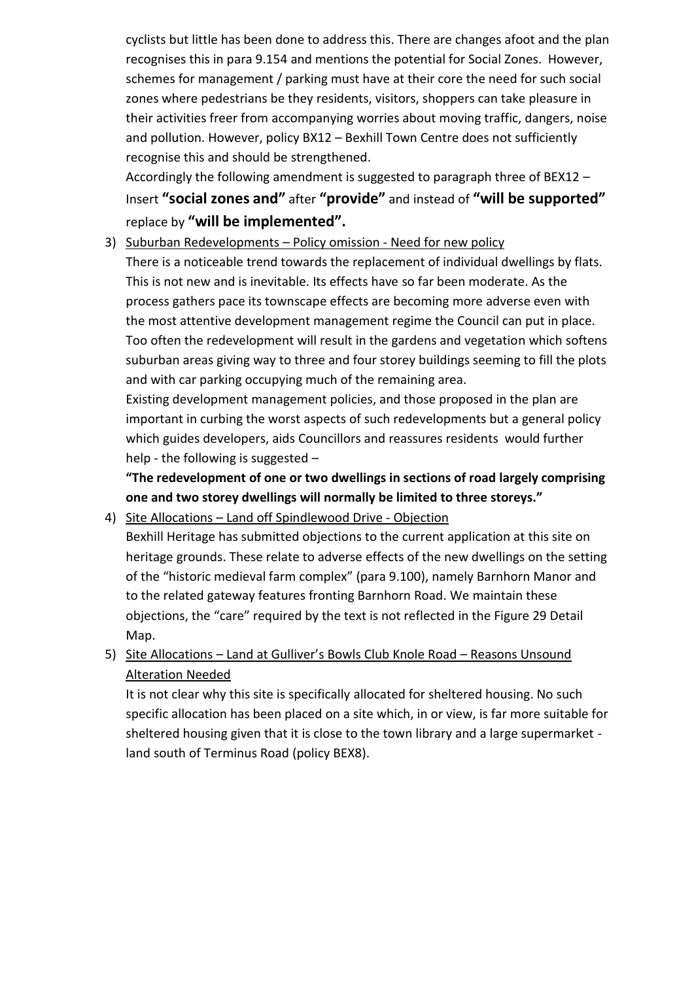cyclists but little has been done to address this. There are changes afoot and the plan recognises this in para 9.154 and mentions the potential for Social Zones. However, schemes for management / parking must have at their core the need for such social zones where pedestrians be they residents, visitors, shoppers can take pleasure in their activities freer from accompanying worries about moving traffic, dangers, noise and pollution. However, policy BX12 – Bexhill Town Centre does not sufficiently recognise this and should be strengthened.

Accordingly the following amendment is suggested to paragraph three of BEX12 – Insert **"social zones and"** after **"provide"** and instead of **"will be supported"** replace by **"will be implemented".**

3) Suburban Redevelopments – Policy omission - Need for new policy

There is a noticeable trend towards the replacement of individual dwellings by flats. This is not new and is inevitable. Its effects have so far been moderate. As the process gathers pace its townscape effects are becoming more adverse even with the most attentive development management regime the Council can put in place. Too often the redevelopment will result in the gardens and vegetation which softens suburban areas giving way to three and four storey buildings seeming to fill the plots and with car parking occupying much of the remaining area.

Existing development management policies, and those proposed in the plan are important in curbing the worst aspects of such redevelopments but a general policy which guides developers, aids Councillors and reassures residents would further help - the following is suggested –

**"The redevelopment of one or two dwellings in sections of road largely comprising one and two storey dwellings will normally be limited to three storeys."**

4) Site Allocations – Land off Spindlewood Drive - Objection

Bexhill Heritage has submitted objections to the current application at this site on heritage grounds. These relate to adverse effects of the new dwellings on the setting of the "historic medieval farm complex" (para 9.100), namely Barnhorn Manor and to the related gateway features fronting Barnhorn Road. We maintain these objections, the "care" required by the text is not reflected in the Figure 29 Detail Map.

5) Site Allocations – Land at Gulliver's Bowls Club Knole Road – Reasons Unsound Alteration Needed

It is not clear why this site is specifically allocated for sheltered housing. No such specific allocation has been placed on a site which, in or view, is far more suitable for sheltered housing given that it is close to the town library and a large supermarket land south of Terminus Road (policy BEX8).